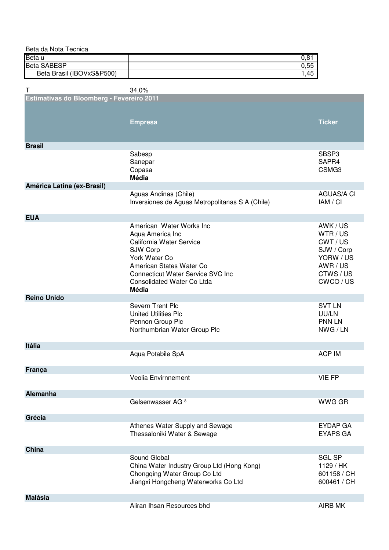| Beta da Nota Tecnica                      |                                                 |                   |
|-------------------------------------------|-------------------------------------------------|-------------------|
| Beta u                                    |                                                 | 0,81              |
| <b>Beta SABESP</b>                        |                                                 | 0,55              |
| Beta Brasil (IBOVxS&P500)                 |                                                 | 1,45              |
|                                           |                                                 |                   |
| Τ                                         | 34,0%                                           |                   |
| Estimativas do Bloomberg - Fevereiro 2011 |                                                 |                   |
|                                           |                                                 |                   |
|                                           |                                                 |                   |
|                                           | <b>Empresa</b>                                  | <b>Ticker</b>     |
|                                           |                                                 |                   |
|                                           |                                                 |                   |
| <b>Brasil</b>                             |                                                 |                   |
|                                           | Sabesp                                          | SBSP3             |
|                                           | Sanepar                                         | SAPR4             |
|                                           | Copasa                                          | CSMG3             |
|                                           | <b>Média</b>                                    |                   |
|                                           |                                                 |                   |
| América Latina (ex-Brasil)                |                                                 | <b>AGUAS/A CI</b> |
|                                           | Aguas Andinas (Chile)                           |                   |
|                                           | Inversiones de Aguas Metropolitanas S A (Chile) | IAM / CI          |
|                                           |                                                 |                   |
| <b>EUA</b>                                |                                                 |                   |
|                                           | American Water Works Inc                        | AWK/US            |
|                                           | Aqua America Inc                                | WTR/US            |
|                                           | California Water Service                        | CWT / US          |
|                                           | SJW Corp                                        | SJW / Corp        |
|                                           | York Water Co                                   | YORW / US         |
|                                           | American States Water Co                        | AWR / US          |
|                                           | <b>Connecticut Water Service SVC Inc</b>        | CTWS/US           |
|                                           | Consolidated Water Co Ltda                      | CWCO / US         |
|                                           | Média                                           |                   |
| <b>Reino Unido</b>                        |                                                 |                   |
|                                           | <b>Severn Trent Plc</b>                         | <b>SVT LN</b>     |
|                                           | <b>United Utilities Plc</b>                     | UU/LN             |
|                                           | Pennon Group Plc                                | <b>PNN LN</b>     |
|                                           | Northumbrian Water Group Plc                    | NWG / LN          |
|                                           |                                                 |                   |
| Itália                                    |                                                 |                   |
|                                           | Aqua Potabile SpA                               | <b>ACP IM</b>     |
|                                           |                                                 |                   |
| França                                    |                                                 |                   |
|                                           | Veolia Envirnnement                             | <b>VIE FP</b>     |
|                                           |                                                 |                   |
| Alemanha                                  |                                                 |                   |
|                                           | Gelsenwasser AG <sup>3</sup>                    | <b>WWG GR</b>     |
|                                           |                                                 |                   |
| Grécia                                    |                                                 |                   |
|                                           | Athenes Water Supply and Sewage                 | <b>EYDAP GA</b>   |
|                                           | Thessaloniki Water & Sewage                     | <b>EYAPS GA</b>   |
|                                           |                                                 |                   |
| China                                     |                                                 |                   |
|                                           |                                                 |                   |
|                                           | Sound Global                                    | <b>SGL SP</b>     |
|                                           | China Water Industry Group Ltd (Hong Kong)      | 1129 / HK         |
|                                           | Chongqing Water Group Co Ltd                    | 601158 / CH       |
|                                           | Jiangxi Hongcheng Waterworks Co Ltd             | 600461 / CH       |
|                                           |                                                 |                   |
| <b>Malásia</b>                            |                                                 |                   |
|                                           | Aliran Ihsan Resources bhd                      | AIRB MK           |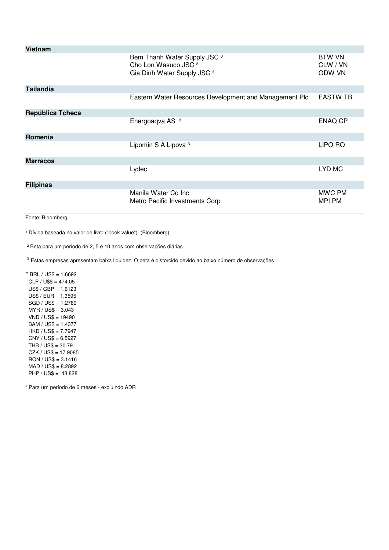| Vietnam          |                                                                                                                      |                                            |
|------------------|----------------------------------------------------------------------------------------------------------------------|--------------------------------------------|
|                  | Bem Thanh Water Supply JSC <sup>3</sup><br>Cho Lon Wasuco JSC <sup>3</sup><br>Gia Dinh Water Supply JSC <sup>3</sup> | <b>BTW VN</b><br>CLW / VN<br><b>GDW VN</b> |
| <b>Tailandia</b> |                                                                                                                      |                                            |
|                  | Eastern Water Resources Development and Management Plc                                                               | <b>EASTW TB</b>                            |
| República Tcheca |                                                                                                                      |                                            |
|                  | Energoaqva AS <sup>3</sup>                                                                                           | <b>ENAQ CP</b>                             |
| Romenia          |                                                                                                                      |                                            |
|                  | Lipomin S A Lipova <sup>3</sup>                                                                                      | LIPO RO                                    |
| <b>Marracos</b>  |                                                                                                                      |                                            |
|                  | Lydec                                                                                                                | LYD MC                                     |
| <b>Filipinas</b> |                                                                                                                      |                                            |
|                  | Manila Water Co Inc<br>Metro Pacific Investments Corp                                                                | MWC PM<br><b>MPI PM</b>                    |

Fonte: Bloomberg

<sup>1</sup> Dívida baseada no valor de livro ("book value"). (Bloomberg)

² Beta para um período de 2, 5 e 10 anos com observações diárias

<sup>3</sup> Estas empresas apresentam baixa liquidez. O beta é distorcido devido ao baixo número de observações

 $4$  BRL / US\$ = 1.6692  $CLP / U$ \$\$ = 474.05 US\$ / GBP = 1.6123 US\$ / EUR = 1.3595 SGD / US\$ = 1.2789 MYR / US\$ = 3.043 VND / US\$ = 19490 BAM / US\$ = 1.4377 HKD / US\$ = 7.7947 CNY / US\$ = 6.5927 THB / US\$ = 30.79 CZK / US\$ = 17.9085 RON / US\$ = 3.1416 MAD / US\$ = 8.2892 PHP / US\$ = 43.828

5 Para um período de 6 meses - excluindo ADR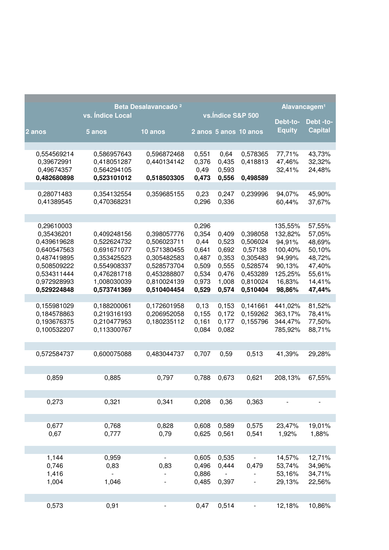|                                                                                                                                   | vs. Índice Local                                                                                                     | Beta Desalavancado <sup>2</sup>                                                                                      | vs.Indice S&P 500                                                            |                                                                      |                                                                                             | Alavancagem <sup>1</sup>                                                                   |                                                                                        |
|-----------------------------------------------------------------------------------------------------------------------------------|----------------------------------------------------------------------------------------------------------------------|----------------------------------------------------------------------------------------------------------------------|------------------------------------------------------------------------------|----------------------------------------------------------------------|---------------------------------------------------------------------------------------------|--------------------------------------------------------------------------------------------|----------------------------------------------------------------------------------------|
| $2$ anos                                                                                                                          | 5 anos                                                                                                               | 10 anos                                                                                                              |                                                                              |                                                                      | 2 anos 5 anos 10 anos                                                                       | Debt-to-<br><b>Equity</b>                                                                  | Debt -to-<br><b>Capital</b>                                                            |
|                                                                                                                                   |                                                                                                                      |                                                                                                                      |                                                                              |                                                                      |                                                                                             |                                                                                            |                                                                                        |
| 0,554569214<br>0,39672991<br>0,49674357<br>0,482680898                                                                            | 0,586957643<br>0,418051287<br>0,564294105<br>0,523101012                                                             | 0,596872468<br>0,440134142<br>0,518503305                                                                            | 0,551<br>0,376<br>0,49<br>0,473                                              | 0,64<br>0,435<br>0,593<br>0,556                                      | 0,578365<br>0,418813<br>0,498589                                                            | 77,71%<br>47,46%<br>32,41%                                                                 | 43,73%<br>32,32%<br>24,48%                                                             |
| 0,28071483<br>0,41389545                                                                                                          | 0,354132554<br>0,470368231                                                                                           | 0,359685155                                                                                                          | 0,23<br>0,296                                                                | 0,247<br>0,336                                                       | 0,239996                                                                                    | 94,07%<br>60,44%                                                                           | 45,90%<br>37,67%                                                                       |
|                                                                                                                                   |                                                                                                                      |                                                                                                                      |                                                                              |                                                                      |                                                                                             |                                                                                            |                                                                                        |
| 0,29610003<br>0,35436201<br>0,439619628<br>0,640547563<br>0,487419895<br>0,508509222<br>0,534311444<br>0,972928993<br>0,529224848 | 0,409248156<br>0,522624732<br>0,691671077<br>0,353425523<br>0,554908337<br>0,476281718<br>1,008030039<br>0,573741369 | 0,398057776<br>0,506023711<br>0,571380455<br>0,305482583<br>0,528573704<br>0,453288807<br>0,810024139<br>0,510404454 | 0,296<br>0,354<br>0,44<br>0,641<br>0,487<br>0,509<br>0,534<br>0,973<br>0,529 | 0,409<br>0,523<br>0,692<br>0,353<br>0,555<br>0,476<br>1,008<br>0,574 | 0,398058<br>0,506024<br>0,57138<br>0,305483<br>0,528574<br>0,453289<br>0,810024<br>0,510404 | 135,55%<br>132,82%<br>94,91%<br>100,40%<br>94,99%<br>90,13%<br>125,25%<br>16,83%<br>98,86% | 57,55%<br>57,05%<br>48,69%<br>50,10%<br>48,72%<br>47,40%<br>55,61%<br>14,41%<br>47,44% |
|                                                                                                                                   |                                                                                                                      |                                                                                                                      |                                                                              |                                                                      |                                                                                             |                                                                                            |                                                                                        |
| 0,155981029<br>0,184578863<br>0,193676375<br>0,100532207                                                                          | 0,188200061<br>0,219316193<br>0,210477953<br>0,113300767                                                             | 0,172601958<br>0,206952058<br>0,180235112                                                                            | 0,13<br>0,155<br>0,161<br>0,084                                              | 0,153<br>0,172<br>0,177<br>0,082                                     | 0,141661<br>0,159262<br>0,155796                                                            | 441,02%<br>363,17%<br>344,47%<br>785,92%                                                   | 81,52%<br>78,41%<br>77,50%<br>88,71%                                                   |
| 0,572584737                                                                                                                       | 0,600075088                                                                                                          | 0,483044737                                                                                                          | 0,707                                                                        | 0,59                                                                 | 0,513                                                                                       | 41,39%                                                                                     | 29,28%                                                                                 |
| 0,859                                                                                                                             | 0,885                                                                                                                | 0,797                                                                                                                | 0.788                                                                        | 0,673                                                                | 0,621                                                                                       | 208,13%                                                                                    | 67,55%                                                                                 |
| 0,273                                                                                                                             | 0,321                                                                                                                | 0,341                                                                                                                | 0,208                                                                        | 0,36                                                                 | 0,363                                                                                       |                                                                                            |                                                                                        |
| 0,677<br>0,67                                                                                                                     | 0,768<br>0,777                                                                                                       | 0,828<br>0,79                                                                                                        | 0,608<br>0,625                                                               | 0,589<br>0,561                                                       | 0,575<br>0,541                                                                              | 23,47%<br>1,92%                                                                            | 19,01%<br>1,88%                                                                        |
| 1,144                                                                                                                             | 0,959                                                                                                                |                                                                                                                      |                                                                              | 0,535                                                                |                                                                                             |                                                                                            | 12,71%                                                                                 |
| 0,746<br>1,416<br>1,004                                                                                                           | 0,83<br>1,046                                                                                                        | 0,83                                                                                                                 | 0,605<br>0,496<br>0,886<br>0,485                                             | 0,444<br>0,397                                                       | 0,479                                                                                       | 14,57%<br>53,74%<br>53,16%<br>29,13%                                                       | 34,96%<br>34,71%<br>22,56%                                                             |
|                                                                                                                                   |                                                                                                                      |                                                                                                                      |                                                                              |                                                                      |                                                                                             |                                                                                            |                                                                                        |
| 0,573                                                                                                                             | 0,91                                                                                                                 | -                                                                                                                    | 0,47                                                                         | 0,514                                                                | -                                                                                           | 12,18%                                                                                     | 10,86%                                                                                 |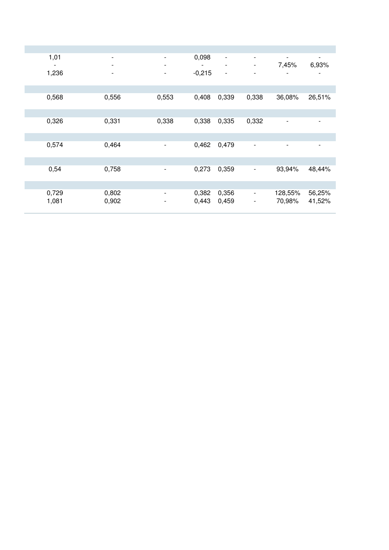| 1,01  | $\overline{\phantom{a}}$ | -                        | 0,098    | $\overline{\phantom{a}}$ | $\overline{\phantom{a}}$     | $\overline{\phantom{a}}$ | $\overline{\phantom{a}}$ |
|-------|--------------------------|--------------------------|----------|--------------------------|------------------------------|--------------------------|--------------------------|
|       | $\overline{\phantom{a}}$ | -                        |          | $\overline{\phantom{a}}$ | $\overline{\phantom{a}}$     | 7,45%                    | 6,93%                    |
| 1,236 | $\overline{\phantom{a}}$ | -                        | $-0,215$ | $\overline{\phantom{a}}$ | $\overline{\phantom{a}}$     |                          |                          |
|       |                          |                          |          |                          |                              |                          |                          |
| 0,568 | 0,556                    | 0,553                    | 0,408    | 0,339                    | 0,338                        | 36,08%                   | 26,51%                   |
|       |                          |                          |          |                          |                              |                          |                          |
| 0,326 | 0,331                    | 0,338                    | 0,338    | 0,335                    | 0,332                        | $\overline{\phantom{a}}$ | $\overline{\phantom{a}}$ |
|       |                          |                          |          |                          |                              |                          |                          |
| 0,574 | 0,464                    | $\overline{\phantom{a}}$ | 0,462    | 0,479                    | $\overline{\phantom{a}}$     | $\overline{\phantom{a}}$ | $\overline{\phantom{a}}$ |
|       |                          |                          |          |                          |                              |                          |                          |
| 0,54  | 0,758                    | -                        | 0,273    | 0,359                    | $\qquad \qquad \blacksquare$ | 93,94%                   | 48,44%                   |
|       |                          |                          |          |                          |                              |                          |                          |
| 0,729 | 0,802                    | $\overline{\phantom{0}}$ | 0,382    | 0,356                    | $\overline{\phantom{a}}$     | 128,55%                  | 56,25%                   |
| 1,081 | 0,902                    | -                        | 0,443    | 0,459                    | $\overline{\phantom{a}}$     | 70,98%                   | 41,52%                   |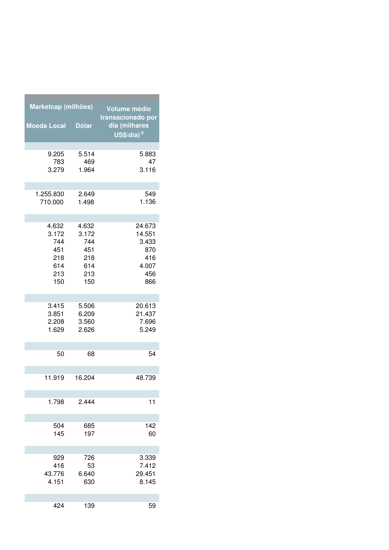| Marketcap (milhões) |              | <b>Volume médio</b><br>transacionado por |
|---------------------|--------------|------------------------------------------|
| <b>Moeda Local</b>  | <b>Dólar</b> | dia (milhares<br>$US$/dia)$ <sup>5</sup> |
| 9.205               | 5.514        | 5.883                                    |
| 783                 | 469          | 47                                       |
| 3.279               | 1.964        | 3.116                                    |
| 1.255.830           | 2.649        | 549                                      |
| 710.000             | 1.498        | 1.136                                    |
| 4.632               | 4.632        | 24.673                                   |
| 3.172               | 3.172        | 14.551                                   |
| 744                 | 744          | 3.433                                    |
| 451                 | 451          | 870                                      |
| 218                 | 218          | 416                                      |
| 614                 | 614          | 4.007                                    |
| 213                 | 213          | 456                                      |
| 150                 | 150          | 866                                      |
| 3.415               | 5.506        | 20.613                                   |
| 3.851               | 6.209        | 21.437                                   |
| 2.208               | 3.560        | 7.696                                    |
| 1.629               | 2.626        | 5.249                                    |
| 50                  | 68           | 54                                       |
| 11.919              | 16.204       | 48.739                                   |
| 1.798               | 2.444        | 11                                       |
| 504                 | 685          | 142                                      |
| 145                 | 197          | 60                                       |
| 929                 | 726          | 3.339                                    |
| 416                 | 53           | 7.412                                    |
| 43.776              | 6.640        | 29.451                                   |
| 4.151               | 630          | 8.145                                    |
| 424                 | 139          | 59                                       |